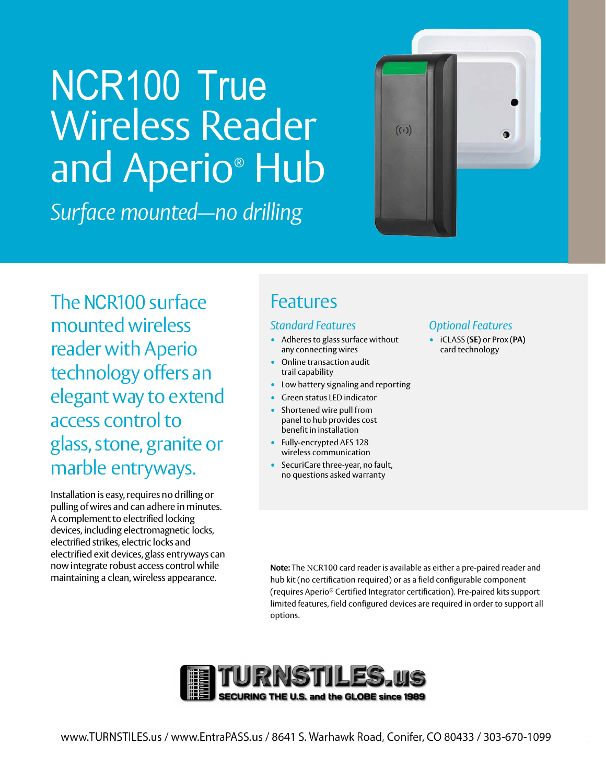# NCR100 True Wireless Reader and Aperio ® Hub

*Surface mounted—no drilling*



The NCR100 surface mounted wireless reader with Aperio technology offers an elegant way to extend access control to glass, stone, granite or marble entryways.

Installation is easy, requires no drilling or pulling of wires and can adhere in minutes. A complement to electrified locking devices, including electromagnetic locks, electrified strikes, electric locks and electrified exit devices, glass entryways can now integrate robust access control while maintaining a clean, wireless appearance.

### Features

#### *Standard Features*

- Adheres to glass surface without any connecting wires
- Online transaction audit trail capability
- Low battery signaling and reporting
- Green status LED indicator
- Shortened wire pull from panel to hub provides cost benefit in installation
- Fully-encrypted AES 128 wireless communication
- SecuriCare three-year, no fault, no questions asked warranty

#### *Optional Features*

• iCLASS (**SE)** or Prox (**PA)** card technology

**Note:** The NCR100 card reader is available as either a pre-paired reader and hub kit (no certification required) or as a field configurable component (requires Aperio® Certified Integrator certification). Pre-paired kits support limited features, field configured devices are required in order to support all options.